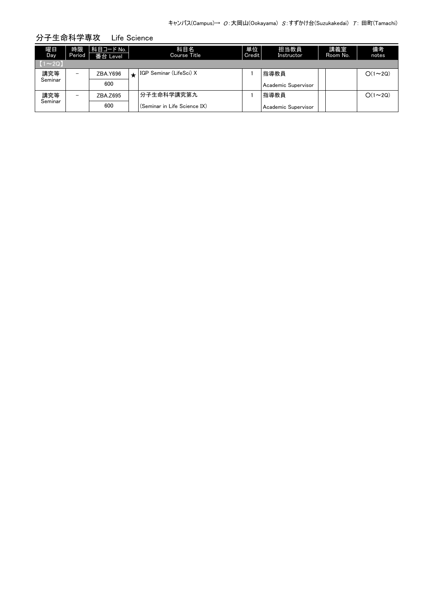| 曜日<br>Day    | 時限<br>Period             | 科目コード No.<br>番台 Level |   | 科目名<br><b>Course Title</b>   | 単位<br>Credit | 担当教員<br>Instructor  | 講義室<br>Room No. | 備考<br>notes   |
|--------------|--------------------------|-----------------------|---|------------------------------|--------------|---------------------|-----------------|---------------|
| $(1\sim 2Q)$ |                          |                       |   |                              |              |                     |                 |               |
| 講究等          | $\overline{\phantom{0}}$ | ZBA.Y696              | ┻ | IGP Seminar (LifeSci) X      |              | 指導教員                |                 | $O(1\sim 2Q)$ |
| Seminar      |                          | 600                   |   |                              |              | Academic Supervisor |                 |               |
| 講究等          | $\overline{\phantom{0}}$ | ZBA.Z695              |   | 分子生命科学講究第九                   |              | 指導教員                |                 | $O(1\sim 2Q)$ |
| Seminar      |                          | 600                   |   | (Seminar in Life Science IX) |              | Academic Supervisor |                 |               |

## 分子生命科学専攻 Life Science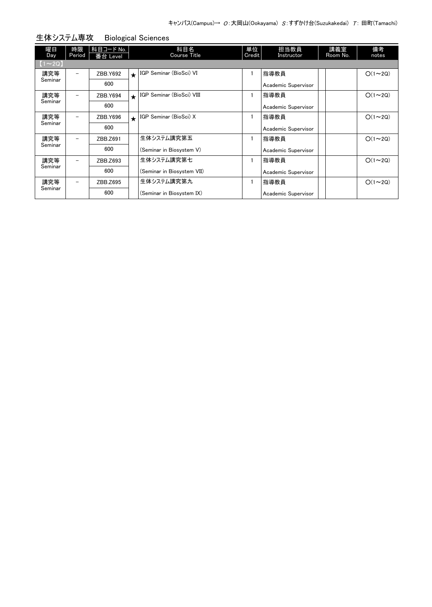| 曜日<br>Day      | 時限<br>Period | 科目コード No.<br>番台 Level |         | 科目名<br><b>Course Title</b> | 単位<br>Credit | 担当教員<br>Instructor  | 講義室<br>Room No. | 備考<br>notes   |
|----------------|--------------|-----------------------|---------|----------------------------|--------------|---------------------|-----------------|---------------|
| $(1 \sim 2Q)$  |              |                       |         |                            |              |                     |                 |               |
| 講究等            | -            | ZBB.Y692              | $\star$ | IGP Seminar (BioSci) VI    |              | 指導教員                |                 | $O(1\sim 2Q)$ |
| Seminar        |              | 600                   |         |                            |              | Academic Supervisor |                 |               |
| 講究等            | -            | ZBB.Y694              | $\star$ | IGP Seminar (BioSci) VIII  |              | 指導教員                |                 | $O(1\sim 2Q)$ |
| Seminar        |              | 600                   |         |                            |              | Academic Supervisor |                 |               |
| 講究等<br>Seminar |              | ZBB.Y696              | $\star$ | IGP Seminar (BioSci) X     |              | 指導教員                |                 | $O(1\sim 2Q)$ |
|                |              | 600                   |         |                            |              | Academic Supervisor |                 |               |
| 講究等<br>Seminar | -            | ZBB.Z691              |         | 生体システム講究第五                 |              | 指導教員                |                 | $O(1\sim 2Q)$ |
|                |              | 600                   |         | (Seminar in Biosystem V)   |              | Academic Supervisor |                 |               |
| 講究等<br>Seminar | -            | ZBB.Z693              |         | 生体システム講究第七                 |              | 指導教員                |                 | $O(1\sim 2Q)$ |
|                |              | 600                   |         | (Seminar in Biosystem VII) |              | Academic Supervisor |                 |               |
| 講究等<br>Seminar |              | ZBB.Z695              |         | 生体システム講究第九                 |              | 指導教員                |                 | $O(1\sim 2Q)$ |
|                |              | 600                   |         | (Seminar in Biosystem IX)  |              | Academic Supervisor |                 |               |

生体システム専攻 Biological Sciences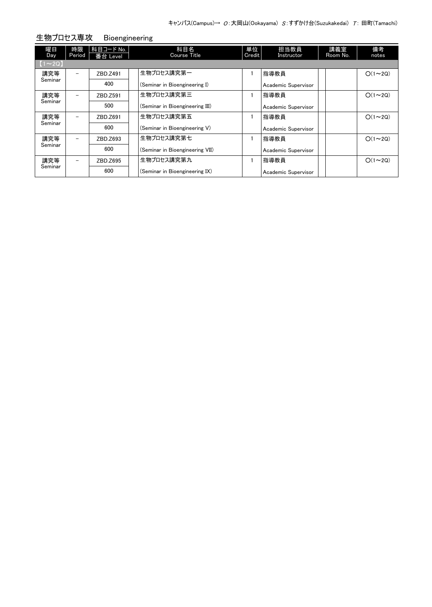| 曜日<br>Day                              | 時限<br>Period             | 科目コード No.<br>番台 Level | 科目名<br>Course Title             | 単位<br>Credit | 担当教員<br>Instructor  | 講義室<br>Room No. | 備考<br>notes   |
|----------------------------------------|--------------------------|-----------------------|---------------------------------|--------------|---------------------|-----------------|---------------|
| $\begin{bmatrix} 1 \\ 2 \end{bmatrix}$ |                          |                       |                                 |              |                     |                 |               |
| 講究等                                    | $\overline{\phantom{0}}$ | ZBD.Z491              | 生物プロセス講究第一                      |              | 指導教員                |                 | $O(1\sim 2Q)$ |
| Seminar                                |                          | 400                   | (Seminar in Bioengineering I)   |              | Academic Supervisor |                 |               |
| 講究等<br>Seminar                         | $\overline{\phantom{0}}$ | ZBD.Z591              | 生物プロセス講究第三                      |              | 指導教員                |                 | $O(1\sim 2Q)$ |
|                                        |                          | 500                   | (Seminar in Bioengineering III) |              | Academic Supervisor |                 |               |
| 講究等<br>Seminar                         | $\overline{\phantom{0}}$ | ZBD.Z691              | 生物プロセス講究第五                      |              | 指導教員                |                 | $O(1\sim 2Q)$ |
|                                        |                          | 600                   | (Seminar in Bioengineering V)   |              | Academic Supervisor |                 |               |
| 講究等                                    | $\overline{\phantom{0}}$ | ZBD.Z693              | 生物プロセス講究第七                      |              | 指導教員                |                 | $O(1\sim 2Q)$ |
| Seminar                                |                          | 600                   | (Seminar in Bioengineering VII) |              | Academic Supervisor |                 |               |
| 講究等                                    | $\qquad \qquad -$        | ZBD.Z695              | 生物プロセス講究第九                      |              | 指導教員                |                 | $O(1\sim 2Q)$ |
| Seminar                                |                          | 600                   | (Seminar in Bioengineering IX)  |              | Academic Supervisor |                 |               |

生物プロセス専攻 Bioengineering